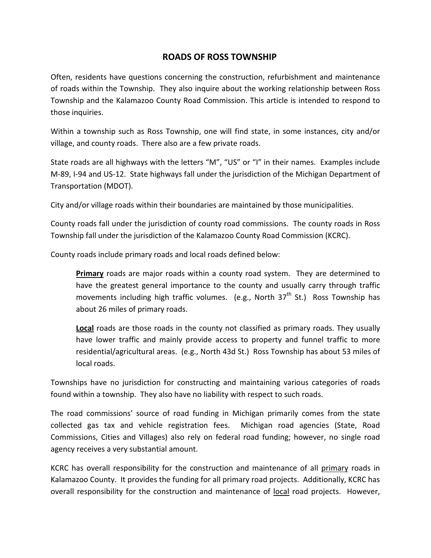## ROADS OF ROSS TOWNSHIP

 Often, residents have questions concerning the construction, refurbishment and maintenance of roads within the Township. They also inquire about the working relationship between Ross Township and the Kalamazoo County Road Commission. This article is intended to respond to those inquiries.

 Within a township such as Ross Township, one will find state, in some instances, city and/or village, and county roads. There also are a few private roads.

 State roads are all highways with the letters "M", "US" or "I" in their names. Examples include M-89, I-94 and US-12. State highways fall under the jurisdiction of the Michigan Department of Transportation (MDOT).

City and/or village roads within their boundaries are maintained by those municipalities.

 County roads fall under the jurisdiction of county road commissions. The county roads in Ross Township fall under the jurisdiction of the Kalamazoo County Road Commission (KCRC).

County roads include primary roads and local roads defined below:

Primary roads are major roads within a county road system. They are determined to have the greatest general importance to the county and usually carry through traffic movements including high traffic volumes. (e.g., North 37<sup>th</sup> St.) Ross Township has about 26 miles of primary roads.

Local roads are those roads in the county not classified as primary roads. They usually have lower traffic and mainly provide access to property and funnel traffic to more residential/agricultural areas. (e.g., North 43d St.) Ross Township has about 53 miles of local roads.

 Townships have no jurisdiction for constructing and maintaining various categories of roads found within a township. They also have no liability with respect to such roads.

 The road commissions' source of road funding in Michigan primarily comes from the state collected gas tax and vehicle registration fees. Michigan road agencies (State, Road Commissions, Cities and Villages) also rely on federal road funding; however, no single road agency receives a very substantial amount.

KCRC has overall responsibility for the construction and maintenance of all primary roads in Kalamazoo County. It provides the funding for all primary road projects. Additionally, KCRC has overall responsibility for the construction and maintenance of local road projects. However,